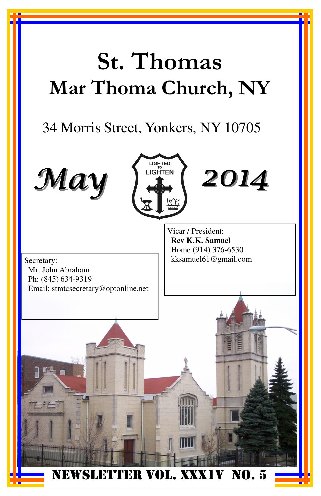# St. Thomas Mar Thoma Church, NY

# 34 Morris Street, Yonkers, NY 10705





2014

Secretary: kksamuel61@gmail.com Mr. John Abraham Ph: (845) 634-9319 Email: stmtcsecretary@optonline.net

Vicar / President: **Rev K.K. Samuel**  Home (914) 376-6530

NEWSLETTER VOL. XXX1V NO. 5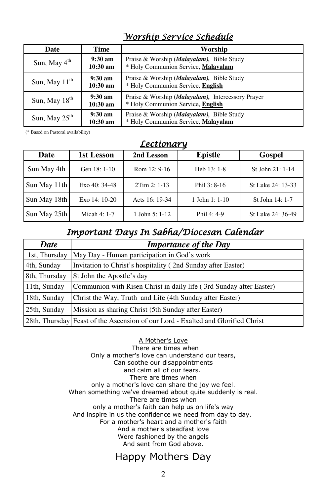## Worship Service Schedule

| Date                      | Time                          | Worship                                                                                         |
|---------------------------|-------------------------------|-------------------------------------------------------------------------------------------------|
| Sun, May $4^{\text{th}}$  | $9:30 \text{ am}$<br>10:30 am | Praise & Worship ( <i>Malayalam</i> ), Bible Study<br>* Holy Communion Service, Malayalam       |
| Sun, May $11^{\text{th}}$ | $9:30 \text{ am}$<br>10:30 am | Praise & Worship ( <i>Malayalam</i> ), Bible Study<br>* Holy Communion Service, English         |
| Sun, May $18th$           | $9:30 \text{ am}$<br>10:30 am | Praise & Worship ( <i>Malayalam</i> ), Intercessory Prayer<br>* Holy Communion Service, English |
| Sun, May $25^{\text{th}}$ | $9:30 \text{ am}$<br>10:30 am | Praise & Worship ( <i>Malayalam</i> ), Bible Study<br>* Holy Communion Service, Malayalam       |

(\* Based on Pastoral availability)

### **Lectionary**

| Date         | 1st Lesson     | 2nd Lesson       | <b>Epistle</b>    | Gospel            |
|--------------|----------------|------------------|-------------------|-------------------|
| Sun May 4th  | Gen 18: 1-10   | Rom 12: 9-16     | Heb 13: 1-8       | St. John 21: 1-14 |
| Sun May 11th | Exo $40:34-48$ | $2Tim 2: 1-13$   | Phil 3: 8-16      | St Luke 24: 13-33 |
| Sun May 18th | Exo $14:10-20$ | Acts 16: 19-34   | $1$ John $1:1-10$ | St John 14: 1-7   |
| Sun May 25th | Micah 4: 1-7   | 1 John 5: $1-12$ | Phil 4: 4-9       | St Luke 24: 36-49 |

## Important Days In Sabha/Diocesan Calendar

| <b>Date</b>   | <b>Importance of the Day</b>                                                     |
|---------------|----------------------------------------------------------------------------------|
| 1st, Thursday | May Day - Human participation in God's work                                      |
| 4th, Sunday   | Invitation to Christ's hospitality (2nd Sunday after Easter)                     |
| 8th, Thursday | St John the Apostle's day                                                        |
| 11th, Sunday  | Communion with Risen Christ in daily life (3rd Sunday after Easter)              |
| 18th, Sunday  | Christ the Way, Truth and Life (4th Sunday after Easter)                         |
| 25th, Sunday  | Mission as sharing Christ (5th Sunday after Easter)                              |
|               | 28th, Thursday Feast of the Ascension of our Lord - Exalted and Glorified Christ |

#### A Mother's Love

 There are times when Only a mother's love can understand our tears, Can soothe our disappointments and calm all of our fears. There are times when only a mother's love can share the joy we feel. When something we've dreamed about quite suddenly is real. There are times when only a mother's faith can help us on life's way And inspire in us the confidence we need from day to day. For a mother's heart and a mother's faith And a mother's steadfast love Were fashioned by the angels And sent from God above.

## Happy Mothers Day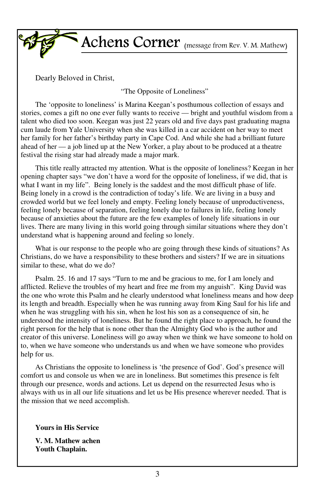

Achens Corner (message from Rev. V. M. Mathew)

Dearly Beloved in Christ,

"The Opposite of Loneliness"

The 'opposite to loneliness' is Marina Keegan's posthumous collection of essays and stories, comes a gift no one ever fully wants to receive — bright and youthful wisdom from a talent who died too soon. Keegan was just 22 years old and five days past graduating magna cum laude from Yale University when she was killed in a car accident on her way to meet her family for her father's birthday party in Cape Cod. And while she had a brilliant future ahead of her — a job lined up at the New Yorker, a play about to be produced at a theatre festival the rising star had already made a major mark.

This title really attracted my attention. What is the opposite of loneliness? Keegan in her opening chapter says "we don't have a word for the opposite of loneliness, if we did, that is what I want in my life". Being lonely is the saddest and the most difficult phase of life. Being lonely in a crowd is the contradiction of today's life. We are living in a busy and crowded world but we feel lonely and empty. Feeling lonely because of unproductiveness, feeling lonely because of separation, feeling lonely due to failures in life, feeling lonely because of anxieties about the future are the few examples of lonely life situations in our lives. There are many living in this world going through similar situations where they don't understand what is happening around and feeling so lonely.

What is our response to the people who are going through these kinds of situations? As Christians, do we have a responsibility to these brothers and sisters? If we are in situations similar to these, what do we do?

Psalm. 25. 16 and 17 says "Turn to me and be gracious to me, for I am lonely and afflicted. Relieve the troubles of my heart and free me from my anguish". King David was the one who wrote this Psalm and he clearly understood what loneliness means and how deep its length and breadth. Especially when he was running away from King Saul for his life and when he was struggling with his sin, when he lost his son as a consequence of sin, he understood the intensity of loneliness. But he found the right place to approach, he found the right person for the help that is none other than the Almighty God who is the author and creator of this universe. Loneliness will go away when we think we have someone to hold on to, when we have someone who understands us and when we have someone who provides help for us.

As Christians the opposite to loneliness is 'the presence of God'. God's presence will comfort us and console us when we are in loneliness. But sometimes this presence is felt through our presence, words and actions. Let us depend on the resurrected Jesus who is always with us in all our life situations and let us be His presence wherever needed. That is the mission that we need accomplish.

**Yours in His Service** 

**V. M. Mathew achen Youth Chaplain.**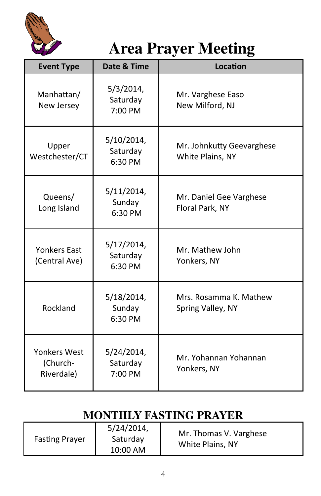

# **Area Prayer Meeting**

| <b>Event Type</b>                             | Date & Time                       | Location                                      |
|-----------------------------------------------|-----------------------------------|-----------------------------------------------|
| Manhattan/<br>New Jersey                      | 5/3/2014,<br>Saturday<br>7:00 PM  | Mr. Varghese Easo<br>New Milford, NJ          |
| Upper<br>Westchester/CT                       | 5/10/2014,<br>Saturday<br>6:30 PM | Mr. Johnkutty Geevarghese<br>White Plains, NY |
| Queens/<br>Long Island                        | 5/11/2014,<br>Sunday<br>6:30 PM   | Mr. Daniel Gee Varghese<br>Floral Park, NY    |
| <b>Yonkers Fast</b><br>(Central Ave)          | 5/17/2014,<br>Saturday<br>6:30 PM | Mr. Mathew John<br>Yonkers, NY                |
| Rockland                                      | 5/18/2014,<br>Sunday<br>6:30 PM   | Mrs. Rosamma K. Mathew<br>Spring Valley, NY   |
| <b>Yonkers West</b><br>(Church-<br>Riverdale) | 5/24/2014,<br>Saturday<br>7:00 PM | Mr. Yohannan Yohannan<br>Yonkers, NY          |

## **MONTHLY FASTING PRAYER**

|                       | 5/24/2014, | Mr. Thomas V. Varghese |
|-----------------------|------------|------------------------|
| <b>Fasting Prayer</b> | Saturday   | White Plains, NY       |
|                       | 10:00 AM   |                        |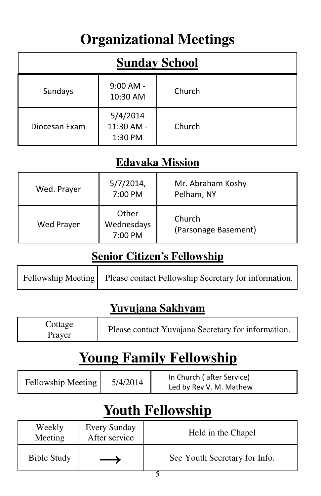# **Organizational Meetings**

| <b>Sunday School</b> |                                   |        |  |
|----------------------|-----------------------------------|--------|--|
| Sundays              | $9:00$ AM -<br>10:30 AM           | Church |  |
| Diocesan Exam        | 5/4/2014<br>11:30 AM -<br>1:30 PM | Church |  |

## **Edavaka Mission**

| Wed. Prayer | $5/7/2014$ ,<br>7:00 PM        | Mr. Abraham Koshy<br>Pelham, NY |
|-------------|--------------------------------|---------------------------------|
| Wed Prayer  | Other<br>Wednesdays<br>7:00 PM | Church<br>(Parsonage Basement)  |

## **Senior Citizen's Fellowship**

|  | Fellowship Meeting Please contact Fellowship Secretary for information. |
|--|-------------------------------------------------------------------------|
|--|-------------------------------------------------------------------------|

## **Yuvujana Sakhyam**

| Cottage<br>Prayer | Please contact Yuvajana Secretary for information. |
|-------------------|----------------------------------------------------|
|-------------------|----------------------------------------------------|

# **Young Family Fellowship**

| Fellowship Meeting | 5/4/2014 | In Church (after Service) |
|--------------------|----------|---------------------------|
|                    |          | Led by Rev V. M. Mathew   |

# **Youth Fellowship**

| Weekly<br>Meeting  | <b>Every Sunday</b><br>After service | Held in the Chapel            |
|--------------------|--------------------------------------|-------------------------------|
| <b>Bible Study</b> |                                      | See Youth Secretary for Info. |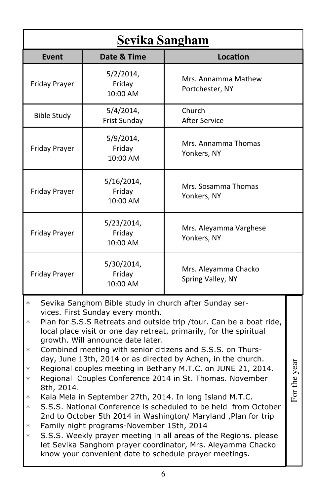| <u>Sevika Sangham</u>                                                            |                                                                                                                    |                                                                                                                                                                                                                                                                                                                                                                                                                                                                                                                                                                                                                                                                                                                                                                                                                                                             |               |
|----------------------------------------------------------------------------------|--------------------------------------------------------------------------------------------------------------------|-------------------------------------------------------------------------------------------------------------------------------------------------------------------------------------------------------------------------------------------------------------------------------------------------------------------------------------------------------------------------------------------------------------------------------------------------------------------------------------------------------------------------------------------------------------------------------------------------------------------------------------------------------------------------------------------------------------------------------------------------------------------------------------------------------------------------------------------------------------|---------------|
| <b>Event</b>                                                                     | Date & Time                                                                                                        | Location                                                                                                                                                                                                                                                                                                                                                                                                                                                                                                                                                                                                                                                                                                                                                                                                                                                    |               |
| Friday Prayer                                                                    | 5/2/2014,<br>Friday<br>10:00 AM                                                                                    | Mrs. Annamma Mathew<br>Portchester, NY                                                                                                                                                                                                                                                                                                                                                                                                                                                                                                                                                                                                                                                                                                                                                                                                                      |               |
| <b>Bible Study</b>                                                               | 5/4/2014,<br>Frist Sunday                                                                                          | Church<br><b>After Service</b>                                                                                                                                                                                                                                                                                                                                                                                                                                                                                                                                                                                                                                                                                                                                                                                                                              |               |
| Friday Prayer                                                                    | 5/9/2014,<br>Friday<br>10:00 AM                                                                                    | Mrs. Annamma Thomas<br>Yonkers, NY                                                                                                                                                                                                                                                                                                                                                                                                                                                                                                                                                                                                                                                                                                                                                                                                                          |               |
| Friday Prayer                                                                    | 5/16/2014,<br>Friday<br>10:00 AM                                                                                   | Mrs. Sosamma Thomas<br>Yonkers, NY                                                                                                                                                                                                                                                                                                                                                                                                                                                                                                                                                                                                                                                                                                                                                                                                                          |               |
| Friday Prayer                                                                    | 5/23/2014,<br>Friday<br>10:00 AM                                                                                   | Mrs. Aleyamma Varghese<br>Yonkers, NY                                                                                                                                                                                                                                                                                                                                                                                                                                                                                                                                                                                                                                                                                                                                                                                                                       |               |
| Friday Prayer                                                                    | 5/30/2014,<br>Friday<br>10:00 AM                                                                                   | Mrs. Aleyamma Chacko<br>Spring Valley, NY                                                                                                                                                                                                                                                                                                                                                                                                                                                                                                                                                                                                                                                                                                                                                                                                                   |               |
| *<br>*<br>$\ast$<br>$\ast$<br>*<br>8th, 2014.<br>$\ast$<br>$\ast$<br>*<br>$\ast$ | vices. First Sunday every month.<br>growth. Will announce date later.<br>Family night programs-November 15th, 2014 | Sevika Sanghom Bible study in church after Sunday ser-<br>Plan for S.S.S Retreats and outside trip /tour. Can be a boat ride,<br>local place visit or one day retreat, primarily, for the spiritual<br>Combined meeting with senior citizens and S.S.S. on Thurs-<br>day, June 13th, 2014 or as directed by Achen, in the church.<br>Regional couples meeting in Bethany M.T.C. on JUNE 21, 2014.<br>Regional Couples Conference 2014 in St. Thomas. November<br>Kala Mela in September 27th, 2014. In long Island M.T.C.<br>S.S.S. National Conference is scheduled to be held from October<br>2nd to October 5th 2014 in Washington/ Maryland, Plan for trip<br>S.S.S. Weekly prayer meeting in all areas of the Regions. please<br>let Sevika Sanghom prayer coordinator, Mrs. Aleyamma Chacko<br>know your convenient date to schedule prayer meetings. | the year<br>Ē |